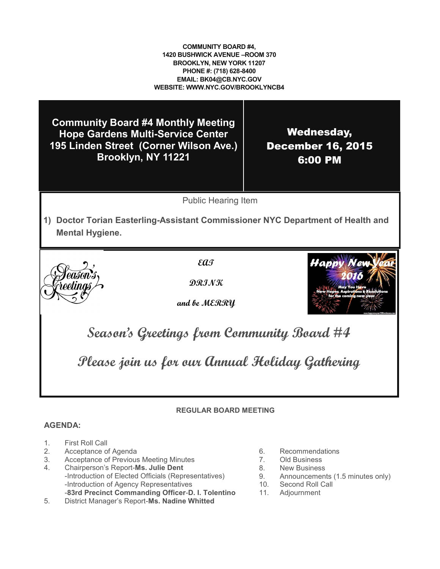**COMMUNITY BOARD #4, 1420 BUSHWICK AVENUE –ROOM 370 BROOKLYN, NEW YORK 11207 PHONE #: (718) 628-8400 EMAIL: BK04@CB.NYC.GOV WEBSITE: WWW.NYC.GOV/BROOKLYNCB4**

**Community Board #4 Monthly Meeting Hope Gardens Multi-Service Center 195 Linden Street (Corner Wilson Ave.) Brooklyn, NY 11221**

Wednesday, December 16, 2015 6:00 PM

Public Hearing Item

**1) Doctor Torian Easterling-Assistant Commissioner NYC Department of Health and Mental Hygiene.**



**EAT**

**DRINK** 

**and be MERRY**



**Season's Greetings from Community Board #4** 

**Please join us for our Annual Holiday Gathering**

## **REGULAR BOARD MEETING**

#### **AGENDA:**

- 1. First Roll Call
- 2. Acceptance of Agenda
- 3. Acceptance of Previous Meeting Minutes
- 4. Chairperson's Report-**Ms. Julie Dent** -Introduction of Elected Officials (Representatives)
	- -Introduction of Agency Representatives -**83rd Precinct Commanding Officer**-**D. I. Tolentino**
- 5. District Manager's Report-**Ms. Nadine Whitted**
- 6. Recommendations<br>7. Old Business
- **Old Business**
- 8. New Business
- 9. Announcements (1.5 minutes only)
- 10. Second Roll Call<br>11. Adjournment
- **Adjournment**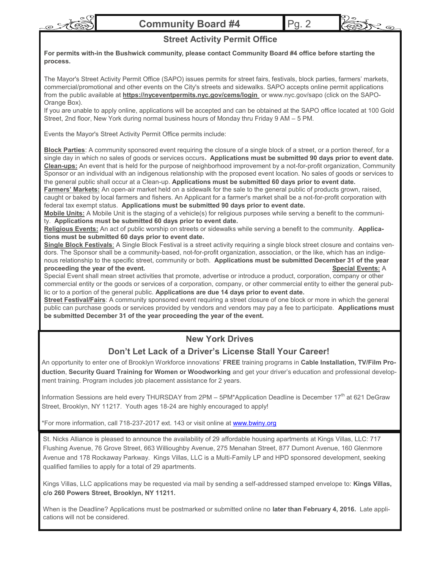





#### **Street Activity Permit Office**

**For permits with-in the Bushwick community, please contact Community Board #4 office before starting the process.**

The Mayor's Street Activity Permit Office (SAPO) issues permits for street fairs, festivals, block parties, farmers' markets, commercial/promotional and other events on the City's streets and sidewalks. SAPO accepts online permit applications from the public available at **https://nyceventpermits.nyc.gov/cems/login** or www.nyc.gov/sapo (click on the SAPO-Orange Box).

If you are unable to apply online, applications will be accepted and can be obtained at the SAPO office located at 100 Gold Street, 2nd floor, New York during normal business hours of Monday thru Friday 9 AM – 5 PM.

Events the Mayor's Street Activity Permit Office permits include:

**Block Parties**: A community sponsored event requiring the closure of a single block of a street, or a portion thereof, for a single day in which no sales of goods or services occurs**. Applications must be submitted 90 days prior to event date. Clean-ups:** An event that is held for the purpose of neighborhood improvement by a not-for-profit organization, Community Sponsor or an individual with an indigenous relationship with the proposed event location. No sales of goods or services to the general public shall occur at a Clean-up. **Applications must be submitted 60 days prior to event date.**

**Farmers' Markets:** An open-air market held on a sidewalk for the sale to the general public of products grown, raised, caught or baked by local farmers and fishers. An Applicant for a farmer's market shall be a not-for-profit corporation with federal tax exempt status. **Applications must be submitted 90 days prior to event date.**

**Mobile Units:** A Mobile Unit is the staging of a vehicle(s) for religious purposes while serving a benefit to the community. **Applications must be submitted 60 days prior to event date.**

**Religious Events:** An act of public worship on streets or sidewalks while serving a benefit to the community. **Applications must be submitted 60 days prior to event date.**

**Single Block Festivals**: A Single Block Festival is a street activity requiring a single block street closure and contains vendors. The Sponsor shall be a community-based, not-for-profit organization, association, or the like, which has an indigenous relationship to the specific street, community or both. **Applications must be submitted December 31 of the year proceeding the year of the event. Special Events:** A

Special Event shall mean street activities that promote, advertise or introduce a product, corporation, company or other commercial entity or the goods or services of a corporation, company, or other commercial entity to either the general public or to a portion of the general public. **Applications are due 14 days prior to event date.**

**Street Festival/Fairs**: A community sponsored event requiring a street closure of one block or more in which the general public can purchase goods or services provided by vendors and vendors may pay a fee to participate. **Applications must be submitted December 31 of the year proceeding the year of the event.**

## **New York Drives**

## **Don't Let Lack of a Driver's License Stall Your Career!**

An opportunity to enter one of Brooklyn Workforce innovations' **FREE** training programs in **Cable Installation, TV/Film Production**, **Security Guard Training for Women or Woodworking** and get your driver's education and professional development training. Program includes job placement assistance for 2 years.

Information Sessions are held every THURSDAY from 2PM – 5PM\*Application Deadline is December 17<sup>th</sup> at 621 DeGraw Street, Brooklyn, NY 11217. Youth ages 18-24 are highly encouraged to apply!

\*For more information, call 718-237-2017 ext. 143 or visit online at [www.bwiny.org](http://www.bwiny.org)

St. Nicks Alliance is pleased to announce the availability of 29 affordable housing apartments at Kings Villas, LLC: 717 Flushing Avenue, 76 Grove Street, 663 Willioughby Avenue, 275 Menahan Street, 877 Dumont Avenue, 160 Glenmore Avenue and 178 Rockaway Parkway. Kings Villas, LLC is a Multi-Family LP and HPD sponsored development, seeking qualified families to apply for a total of 29 apartments.

Kings Villas, LLC applications may be requested via mail by sending a self-addressed stamped envelope to: **Kings Villas, c/o 260 Powers Street, Brooklyn, NY 11211.**

When is the Deadline? Applications must be postmarked or submitted online no **later than February 4, 2016.** Late applications will not be considered.